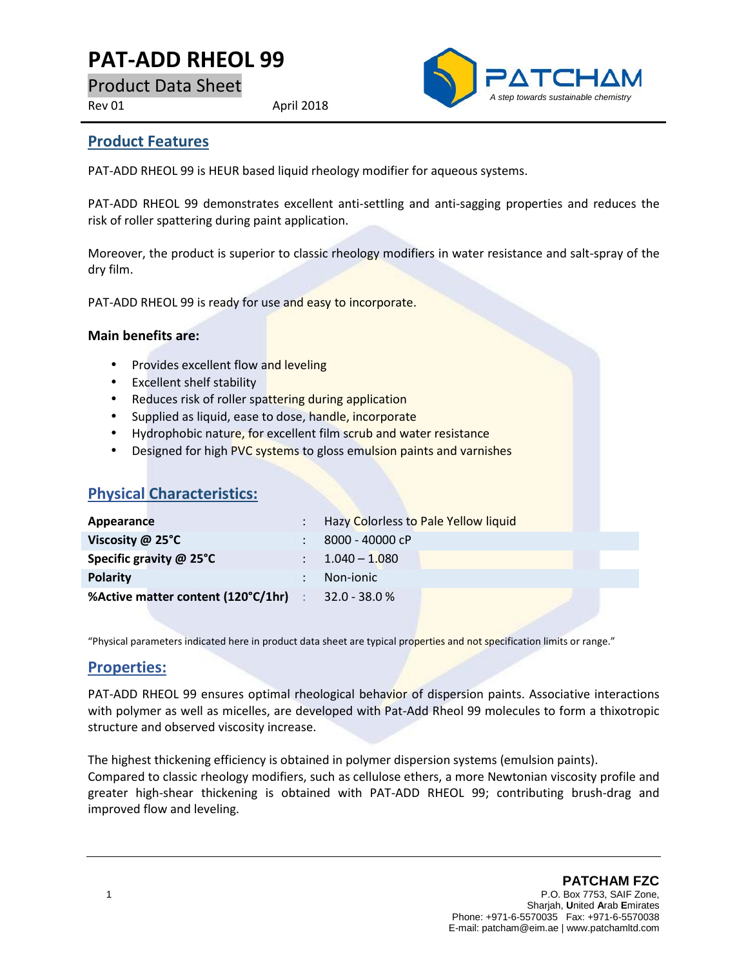# **PAT-ADD RHEOL 99**

Product Data Sheet

Rev 01 April 2018



#### **Product Features**

PAT-ADD RHEOL 99 is HEUR based liquid rheology modifier for aqueous systems.

PAT-ADD RHEOL 99 demonstrates excellent anti-settling and anti-sagging properties and reduces the risk of roller spattering during paint application.

Moreover, the product is superior to classic rheology modifiers in water resistance and salt-spray of the dry film.

PAT-ADD RHEOL 99 is ready for use and easy to incorporate.

#### **Main benefits are:**

- Provides excellent flow and leveling
- Excellent shelf stability
- Reduces risk of roller spattering during application
- Supplied as liquid, ease to dose, handle, incorporate
- Hydrophobic nature, for excellent film scrub and water resistance
- Designed for high PVC systems to gloss emulsion paints and varnishes

| Appearance                                                | : Hazy Colorless to Pale Yellow liquid |
|-----------------------------------------------------------|----------------------------------------|
| Viscosity $@$ 25 $°C$                                     | 8000 - 40000 cP                        |
| Specific gravity @ 25°C                                   | $\therefore$ 1.040 - 1.080             |
| <b>Polarity</b>                                           | Non-jonic                              |
| <b>%Active matter content (120°C/1hr)</b> : 32.0 - 38.0 % |                                        |

"Physical parameters indicated here in product data sheet are typical properties and not specification limits or range."

#### **Properties:**

PAT-ADD RHEOL 99 ensures optimal rheological behavior of dispersion paints. Associative interactions with polymer as well as micelles, are developed with Pat-Add Rheol 99 molecules to form a thixotropic structure and observed viscosity increase.

The highest thickening efficiency is obtained in polymer dispersion systems (emulsion paints). Compared to classic rheology modifiers, such as cellulose ethers, a more Newtonian viscosity profile and greater high-shear thickening is obtained with PAT-ADD RHEOL 99; contributing brush-drag and improved flow and leveling.